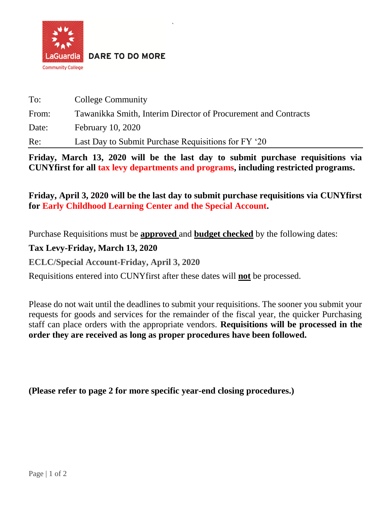

**DARE TO DO MORE** 

| To:   | College Community                                              |
|-------|----------------------------------------------------------------|
| From: | Tawanikka Smith, Interim Director of Procurement and Contracts |
| Date: | <b>February 10, 2020</b>                                       |
| Re:   | Last Day to Submit Purchase Requisitions for FY '20            |

*`*

**Friday, March 13, 2020 will be the last day to submit purchase requisitions via CUNYfirst for all tax levy departments and programs, including restricted programs.**

**Friday, April 3, 2020 will be the last day to submit purchase requisitions via CUNYfirst for Early Childhood Learning Center and the Special Account.** 

Purchase Requisitions must be **approved** and **budget checked** by the following dates:

**Tax Levy-Friday, March 13, 2020**

**ECLC/Special Account-Friday, April 3, 2020**

Requisitions entered into CUNYfirst after these dates will **not** be processed.

Please do not wait until the deadlines to submit your requisitions. The sooner you submit your requests for goods and services for the remainder of the fiscal year, the quicker Purchasing staff can place orders with the appropriate vendors. **Requisitions will be processed in the order they are received as long as proper procedures have been followed.**

**(Please refer to page 2 for more specific year-end closing procedures.)**